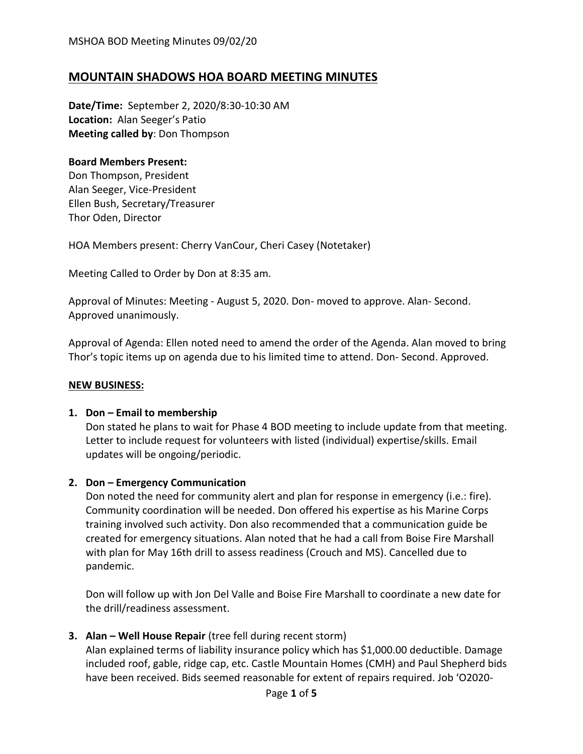# **MOUNTAIN SHADOWS HOA BOARD MEETING MINUTES**

**Date/Time:** September 2, 2020/8:30-10:30 AM **Location:** Alan Seeger's Patio **Meeting called by**: Don Thompson

#### **Board Members Present:**

Don Thompson, President Alan Seeger, Vice-President Ellen Bush, Secretary/Treasurer Thor Oden, Director

HOA Members present: Cherry VanCour, Cheri Casey (Notetaker)

Meeting Called to Order by Don at 8:35 am.

Approval of Minutes: Meeting - August 5, 2020. Don- moved to approve. Alan- Second. Approved unanimously.

Approval of Agenda: Ellen noted need to amend the order of the Agenda. Alan moved to bring Thor's topic items up on agenda due to his limited time to attend. Don- Second. Approved.

#### **NEW BUSINESS:**

#### **1. Don – Email to membership**

Don stated he plans to wait for Phase 4 BOD meeting to include update from that meeting. Letter to include request for volunteers with listed (individual) expertise/skills. Email updates will be ongoing/periodic.

#### **2. Don – Emergency Communication**

Don noted the need for community alert and plan for response in emergency (i.e.: fire). Community coordination will be needed. Don offered his expertise as his Marine Corps training involved such activity. Don also recommended that a communication guide be created for emergency situations. Alan noted that he had a call from Boise Fire Marshall with plan for May 16th drill to assess readiness (Crouch and MS). Cancelled due to pandemic.

Don will follow up with Jon Del Valle and Boise Fire Marshall to coordinate a new date for the drill/readiness assessment.

#### **3. Alan – Well House Repair** (tree fell during recent storm)

Alan explained terms of liability insurance policy which has \$1,000.00 deductible. Damage included roof, gable, ridge cap, etc. Castle Mountain Homes (CMH) and Paul Shepherd bids have been received. Bids seemed reasonable for extent of repairs required. Job 'O2020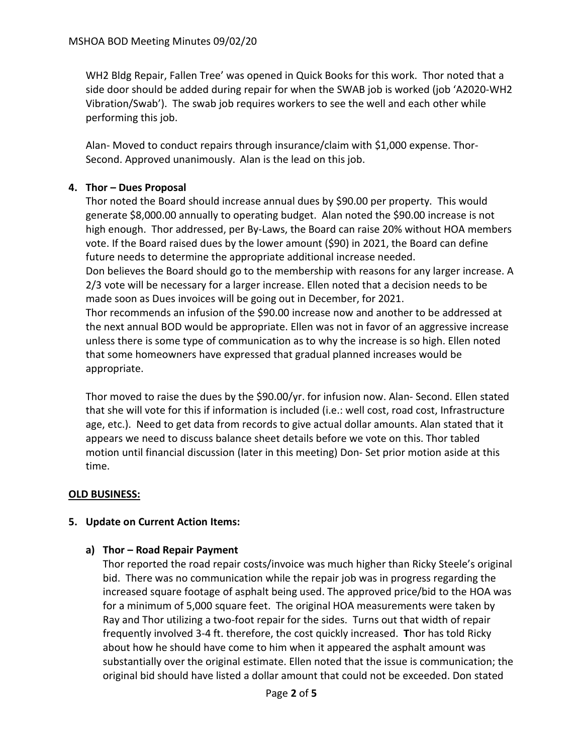WH2 Bldg Repair, Fallen Tree' was opened in Quick Books for this work. Thor noted that a side door should be added during repair for when the SWAB job is worked (job 'A2020-WH2 Vibration/Swab'). The swab job requires workers to see the well and each other while performing this job.

Alan- Moved to conduct repairs through insurance/claim with \$1,000 expense. Thor-Second. Approved unanimously. Alan is the lead on this job.

## **4. Thor – Dues Proposal**

Thor noted the Board should increase annual dues by \$90.00 per property. This would generate \$8,000.00 annually to operating budget. Alan noted the \$90.00 increase is not high enough. Thor addressed, per By-Laws, the Board can raise 20% without HOA members vote. If the Board raised dues by the lower amount (\$90) in 2021, the Board can define future needs to determine the appropriate additional increase needed. Don believes the Board should go to the membership with reasons for any larger increase. A 2/3 vote will be necessary for a larger increase. Ellen noted that a decision needs to be made soon as Dues invoices will be going out in December, for 2021.

Thor recommends an infusion of the \$90.00 increase now and another to be addressed at the next annual BOD would be appropriate. Ellen was not in favor of an aggressive increase unless there is some type of communication as to why the increase is so high. Ellen noted that some homeowners have expressed that gradual planned increases would be appropriate.

Thor moved to raise the dues by the \$90.00/yr. for infusion now. Alan- Second. Ellen stated that she will vote for this if information is included (i.e.: well cost, road cost, Infrastructure age, etc.). Need to get data from records to give actual dollar amounts. Alan stated that it appears we need to discuss balance sheet details before we vote on this. Thor tabled motion until financial discussion (later in this meeting) Don- Set prior motion aside at this time.

# **OLD BUSINESS:**

### **5. Update on Current Action Items:**

### **a) Thor – Road Repair Payment**

Thor reported the road repair costs/invoice was much higher than Ricky Steele's original bid. There was no communication while the repair job was in progress regarding the increased square footage of asphalt being used. The approved price/bid to the HOA was for a minimum of 5,000 square feet. The original HOA measurements were taken by Ray and Thor utilizing a two-foot repair for the sides. Turns out that width of repair frequently involved 3-4 ft. therefore, the cost quickly increased. **T**hor has told Ricky about how he should have come to him when it appeared the asphalt amount was substantially over the original estimate. Ellen noted that the issue is communication; the original bid should have listed a dollar amount that could not be exceeded. Don stated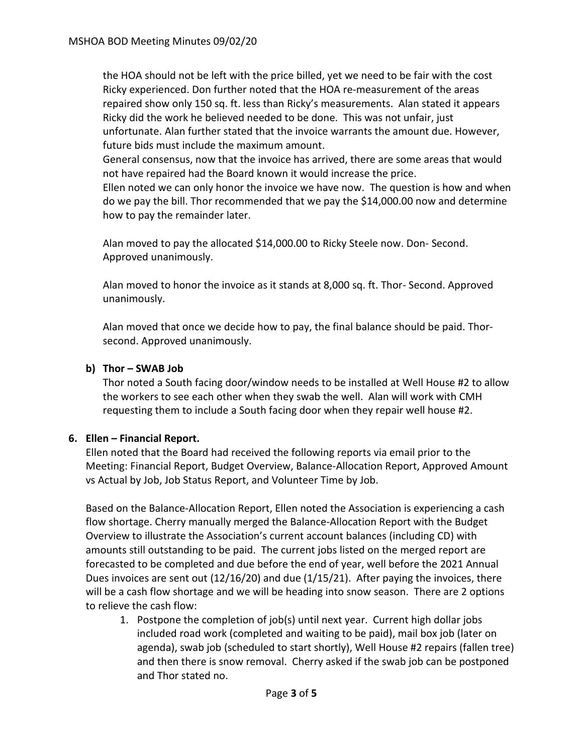the HOA should not be left with the price billed, yet we need to be fair with the cost Ricky experienced. Don further noted that the HOA re-measurement of the areas repaired show only 150 sq. ft. less than Ricky's measurements. Alan stated it appears Ricky did the work he believed needed to be done. This was not unfair, just unfortunate. Alan further stated that the invoice warrants the amount due. However, future bids must include the maximum amount.

General consensus, now that the invoice has arrived, there are some areas that would not have repaired had the Board known it would increase the price.

Ellen noted we can only honor the invoice we have now. The question is how and when do we pay the bill. Thor recommended that we pay the \$14,000.00 now and determine how to pay the remainder later.

Alan moved to pay the allocated \$14,000.00 to Ricky Steele now. Don- Second. Approved unanimously.

Alan moved to honor the invoice as it stands at 8,000 sq. ft. Thor- Second. Approved unanimously.

Alan moved that once we decide how to pay, the final balance should be paid. Thorsecond. Approved unanimously.

### **b) Thor – SWAB Job**

Thor noted a South facing door/window needs to be installed at Well House #2 to allow the workers to see each other when they swab the well. Alan will work with CMH requesting them to include a South facing door when they repair well house #2.

### **6. Ellen – Financial Report.**

Ellen noted that the Board had received the following reports via email prior to the Meeting: Financial Report, Budget Overview, Balance-Allocation Report, Approved Amount vs Actual by Job, Job Status Report, and Volunteer Time by Job.

Based on the Balance-Allocation Report, Ellen noted the Association is experiencing a cash flow shortage. Cherry manually merged the Balance-Allocation Report with the Budget Overview to illustrate the Association's current account balances (including CD) with amounts still outstanding to be paid. The current jobs listed on the merged report are forecasted to be completed and due before the end of year, well before the 2021 Annual Dues invoices are sent out (12/16/20) and due (1/15/21). After paying the invoices, there will be a cash flow shortage and we will be heading into snow season. There are 2 options to relieve the cash flow:

1. Postpone the completion of job(s) until next year. Current high dollar jobs included road work (completed and waiting to be paid), mail box job (later on agenda), swab job (scheduled to start shortly), Well House #2 repairs (fallen tree) and then there is snow removal. Cherry asked if the swab job can be postponed and Thor stated no.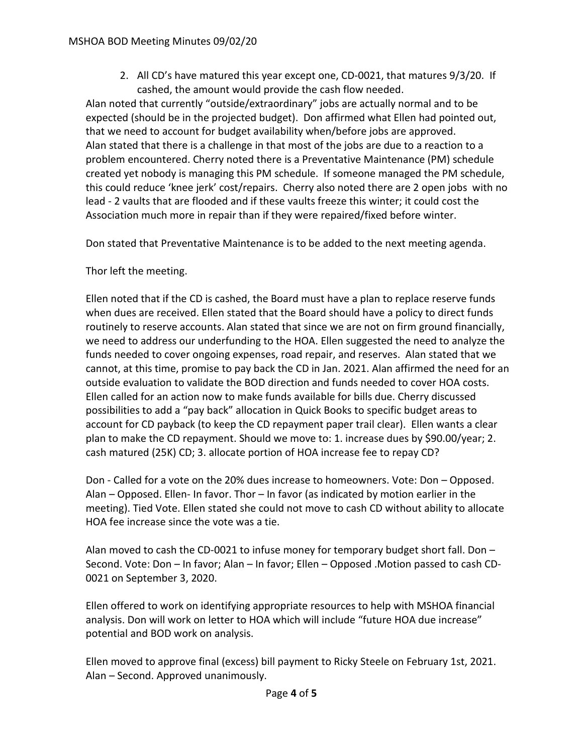2. All CD's have matured this year except one, CD-0021, that matures 9/3/20. If cashed, the amount would provide the cash flow needed.

Alan noted that currently "outside/extraordinary" jobs are actually normal and to be expected (should be in the projected budget). Don affirmed what Ellen had pointed out, that we need to account for budget availability when/before jobs are approved. Alan stated that there is a challenge in that most of the jobs are due to a reaction to a problem encountered. Cherry noted there is a Preventative Maintenance (PM) schedule created yet nobody is managing this PM schedule. If someone managed the PM schedule, this could reduce 'knee jerk' cost/repairs. Cherry also noted there are 2 open jobs with no lead - 2 vaults that are flooded and if these vaults freeze this winter; it could cost the Association much more in repair than if they were repaired/fixed before winter.

Don stated that Preventative Maintenance is to be added to the next meeting agenda.

Thor left the meeting.

Ellen noted that if the CD is cashed, the Board must have a plan to replace reserve funds when dues are received. Ellen stated that the Board should have a policy to direct funds routinely to reserve accounts. Alan stated that since we are not on firm ground financially, we need to address our underfunding to the HOA. Ellen suggested the need to analyze the funds needed to cover ongoing expenses, road repair, and reserves. Alan stated that we cannot, at this time, promise to pay back the CD in Jan. 2021. Alan affirmed the need for an outside evaluation to validate the BOD direction and funds needed to cover HOA costs. Ellen called for an action now to make funds available for bills due. Cherry discussed possibilities to add a "pay back" allocation in Quick Books to specific budget areas to account for CD payback (to keep the CD repayment paper trail clear). Ellen wants a clear plan to make the CD repayment. Should we move to: 1. increase dues by \$90.00/year; 2. cash matured (25K) CD; 3. allocate portion of HOA increase fee to repay CD?

Don - Called for a vote on the 20% dues increase to homeowners. Vote: Don – Opposed. Alan – Opposed. Ellen- In favor. Thor – In favor (as indicated by motion earlier in the meeting). Tied Vote. Ellen stated she could not move to cash CD without ability to allocate HOA fee increase since the vote was a tie.

Alan moved to cash the CD-0021 to infuse money for temporary budget short fall. Don  $-$ Second. Vote: Don – In favor; Alan – In favor; Ellen – Opposed .Motion passed to cash CD-0021 on September 3, 2020.

Ellen offered to work on identifying appropriate resources to help with MSHOA financial analysis. Don will work on letter to HOA which will include "future HOA due increase" potential and BOD work on analysis.

Ellen moved to approve final (excess) bill payment to Ricky Steele on February 1st, 2021. Alan – Second. Approved unanimously.